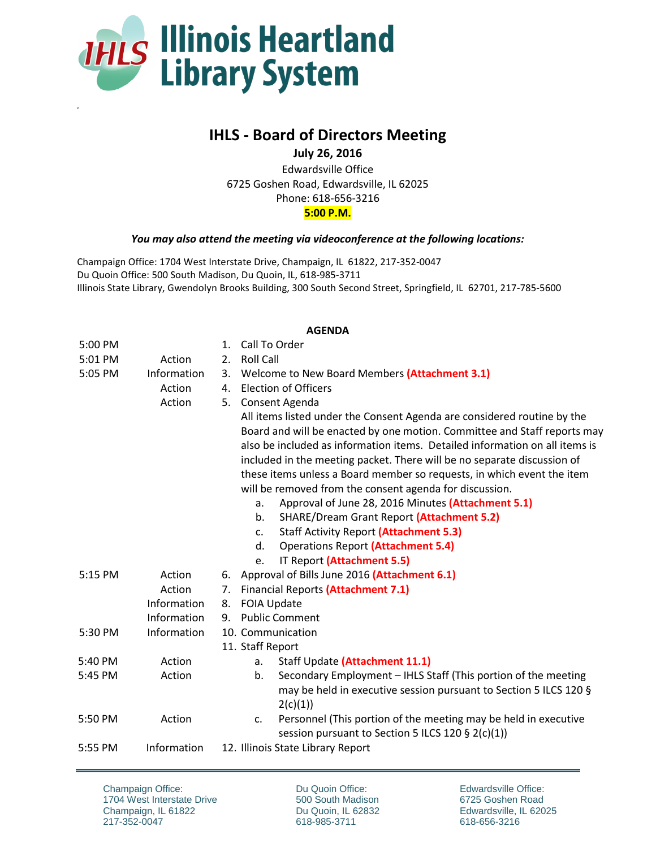

p

## **IHLS - Board of Directors Meeting**

**July 26, 2016**

Edwardsville Office 6725 Goshen Road, Edwardsville, IL 62025 Phone: 618-656-3216 **5:00 P.M.**

## *You may also attend the meeting via videoconference at the following locations:*

Champaign Office: 1704 West Interstate Drive, Champaign, IL 61822, 217-352-0047 Du Quoin Office: 500 South Madison, Du Quoin, IL, 618-985-3711 Illinois State Library, Gwendolyn Brooks Building, 300 South Second Street, Springfield, IL 62701, 217-785-5600

## **AGENDA**

| 5:00 PM |             | Call To Order<br>$\mathbf{1}$ .                                                                                            |  |  |
|---------|-------------|----------------------------------------------------------------------------------------------------------------------------|--|--|
| 5:01 PM | Action      | <b>Roll Call</b><br>2.                                                                                                     |  |  |
| 5:05 PM | Information | Welcome to New Board Members (Attachment 3.1)<br>3.                                                                        |  |  |
|         | Action      | <b>Election of Officers</b><br>4.                                                                                          |  |  |
|         | Action      | Consent Agenda<br>5.                                                                                                       |  |  |
|         |             | All items listed under the Consent Agenda are considered routine by the                                                    |  |  |
|         |             | Board and will be enacted by one motion. Committee and Staff reports may                                                   |  |  |
|         |             | also be included as information items. Detailed information on all items is                                                |  |  |
|         |             | included in the meeting packet. There will be no separate discussion of                                                    |  |  |
|         |             | these items unless a Board member so requests, in which event the item                                                     |  |  |
|         |             | will be removed from the consent agenda for discussion.                                                                    |  |  |
|         |             | Approval of June 28, 2016 Minutes (Attachment 5.1)<br>a.                                                                   |  |  |
|         |             | SHARE/Dream Grant Report (Attachment 5.2)<br>b.                                                                            |  |  |
|         |             | <b>Staff Activity Report (Attachment 5.3)</b><br>$C_{\bullet}$                                                             |  |  |
|         |             | <b>Operations Report (Attachment 5.4)</b><br>d.                                                                            |  |  |
|         |             | IT Report (Attachment 5.5)<br>e.                                                                                           |  |  |
| 5:15 PM | Action      | Approval of Bills June 2016 (Attachment 6.1)<br>6.                                                                         |  |  |
|         | Action      | <b>Financial Reports (Attachment 7.1)</b>                                                                                  |  |  |
|         | Information | <b>FOIA Update</b><br>8.                                                                                                   |  |  |
|         | Information | <b>Public Comment</b><br>9.                                                                                                |  |  |
| 5:30 PM | Information | 10. Communication                                                                                                          |  |  |
|         |             | 11. Staff Report                                                                                                           |  |  |
| 5:40 PM | Action      | Staff Update (Attachment 11.1)<br>a.                                                                                       |  |  |
| 5:45 PM | Action      | Secondary Employment - IHLS Staff (This portion of the meeting<br>b.                                                       |  |  |
|         |             | may be held in executive session pursuant to Section 5 ILCS 120 §                                                          |  |  |
|         |             | 2(c)(1)                                                                                                                    |  |  |
| 5:50 PM | Action      | Personnel (This portion of the meeting may be held in executive<br>c.<br>session pursuant to Section 5 ILCS 120 § 2(c)(1)) |  |  |
| 5:55 PM | Information | 12. Illinois State Library Report                                                                                          |  |  |

Champaign Office: 1704 West Interstate Drive Champaign, IL 61822 217-352-0047

Du Quoin Office: 500 South Madison Du Quoin, IL 62832 618-985-3711

Edwardsville Office: 6725 Goshen Road Edwardsville, IL 62025 618-656-3216